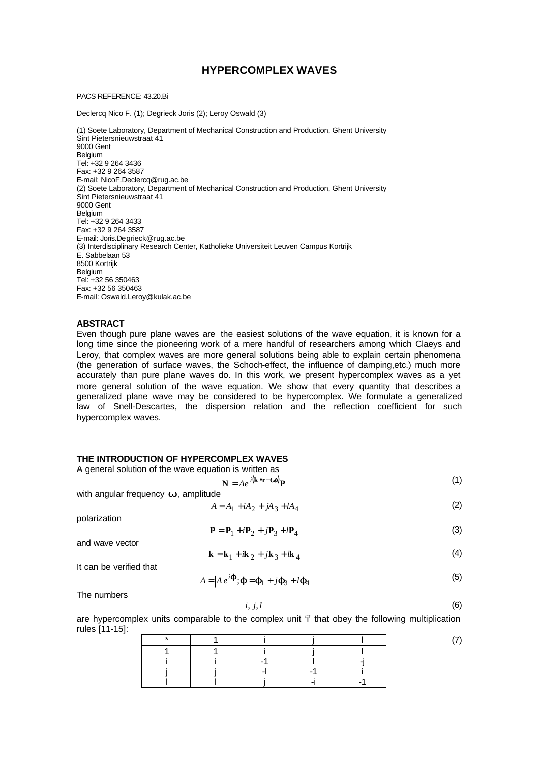# **HYPERCOMPLEX WAVES**

#### PACS REFERENCE: 43.20.Bi

Declercq Nico F. (1); Degrieck Joris (2); Leroy Oswald (3)

(1) Soete Laboratory, Department of Mechanical Construction and Production, Ghent University Sint Pietersnieuwstraat 41 9000 Gent Belgium Tel: +32 9 264 3436 Fax: +32 9 264 3587 E-mail: NicoF.Declercq@rug.ac.be (2) Soete Laboratory, Department of Mechanical Construction and Production, Ghent University Sint Pietersnieuwstraat 41 9000 Gent Belgium Tel: +32 9 264 3433 Fax: +32 9 264 3587 E-mail: Joris.Degrieck@rug.ac.be (3) Interdisciplinary Research Center, Katholieke Universiteit Leuven Campus Kortrijk E. Sabbelaan 53 8500 Kortrijk Belgium Tel: +32 56 350463 Fax: +32 56 350463 E-mail: Oswald.Leroy@kulak.ac.be

### **ABSTRACT**

Even though pure plane waves are the easiest solutions of the wave equation, it is known for a long time since the pioneering work of a mere handful of researchers among which Claeys and Leroy, that complex waves are more general solutions being able to explain certain phenomena (the generation of surface waves, the Schoch-effect, the influence of damping,etc.) much more accurately than pure plane waves do. In this work, we present hypercomplex waves as a yet more general solution of the wave equation. We show that every quantity that describes a generalized plane wave may be considered to be hypercomplex. We formulate a generalized law of Snell-Descartes, the dispersion relation and the reflection coefficient for such hypercomplex waves.

# **THE INTRODUCTION OF HYPERCOMPLEX WAVES**

A general solution of the wave equation is written as

$$
\mathbf{N} = Ae^{i(\mathbf{k} \cdot \mathbf{r} - \mathbf{w})} \mathbf{P}
$$
 (1)

with angular frequency *w*, amplitude

$$
A = A_1 + iA_2 + jA_3 + lA_4 \tag{2}
$$

polarization

$$
\mathbf{P} = \mathbf{P}_1 + i\mathbf{P}_2 + j\mathbf{P}_3 + l\mathbf{P}_4
$$
 (3)

and wave vector

$$
\mathbf{k} = \mathbf{k}_1 + i\mathbf{k}_2 + j\mathbf{k}_3 + i\mathbf{k}_4
$$
 (4)

It can be verified that

$$
A = |A|e^{i\boldsymbol{\hat{J}}} \cdot \boldsymbol{j} = \boldsymbol{j}_1 + i\boldsymbol{j}_3 + i\boldsymbol{j}_4
$$
 (5)

The numbers

$$
i, j, l \tag{6}
$$

are hypercomplex units comparable to the complex unit 'i' that obey the following multiplication rules [11-15]: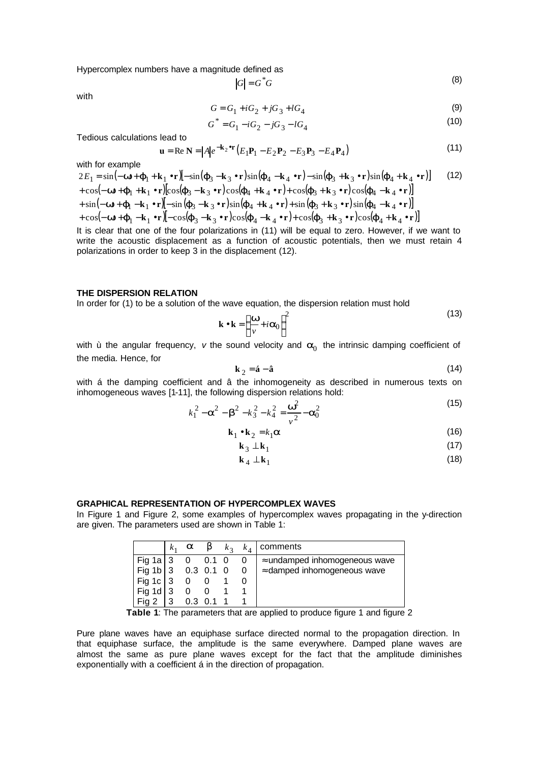Hypercomplex numbers have a magnitude defined as

$$
|G| = G^*G \tag{8}
$$

with

$$
G = G_1 + iG_2 + jG_3 + lG_4 \tag{9}
$$

$$
G^* = G_1 - iG_2 - jG_3 - lG_4 \tag{10}
$$

Tedious calculations lead to

$$
\mathbf{u} = \text{Re }\mathbf{N} = |A|e^{-\mathbf{k}_2\bullet\mathbf{r}}(E_1\mathbf{P}_1 - E_2\mathbf{P}_2 - E_3\mathbf{P}_3 - E_4\mathbf{P}_4)
$$
(11)

with for example

$$
2E_1 = \sin(-\mathbf{w} + \mathbf{j}_1 + \mathbf{k}_1 \cdot \mathbf{r}) [-\sin(\mathbf{j}_3 - \mathbf{k}_3 \cdot \mathbf{r}) \sin(\mathbf{j}_4 - \mathbf{k}_4 \cdot \mathbf{r}) - \sin(\mathbf{j}_3 + \mathbf{k}_3 \cdot \mathbf{r}) \sin(\mathbf{j}_4 + \mathbf{k}_4 \cdot \mathbf{r})]
$$
(12)  
+  $\cos(-\mathbf{w} + \mathbf{j}_1 + \mathbf{k}_1 \cdot \mathbf{r}) [\cos(\mathbf{j}_3 - \mathbf{k}_3 \cdot \mathbf{r}) \cos(\mathbf{j}_4 + \mathbf{k}_4 \cdot \mathbf{r}) + \cos(\mathbf{j}_3 + \mathbf{k}_3 \cdot \mathbf{r}) \cos(\mathbf{j}_4 - \mathbf{k}_4 \cdot \mathbf{r})]$   
+  $\sin(-\mathbf{w} + \mathbf{j}_1 - \mathbf{k}_1 \cdot \mathbf{r}) [-\sin(\mathbf{j}_3 - \mathbf{k}_3 \cdot \mathbf{r}) \sin(\mathbf{j}_4 + \mathbf{k}_4 \cdot \mathbf{r}) + \sin(\mathbf{j}_3 + \mathbf{k}_3 \cdot \mathbf{r}) \sin(\mathbf{j}_4 - \mathbf{k}_4 \cdot \mathbf{r})]$   
+  $\cos(-\mathbf{w} + \mathbf{j}_1 - \mathbf{k}_1 \cdot \mathbf{r}) [-\cos(\mathbf{j}_3 - \mathbf{k}_3 \cdot \mathbf{r}) \cos(\mathbf{j}_4 - \mathbf{k}_4 \cdot \mathbf{r}) + \cos(\mathbf{j}_3 + \mathbf{k}_3 \cdot \mathbf{r}) \cos(\mathbf{j}_4 + \mathbf{k}_4 \cdot \mathbf{r})]$ 

It is clear that one of the four polarizations in (11) will be equal to zero. However, if we want to write the acoustic displacement as a function of acoustic potentials, then we must retain 4 polarizations in order to keep 3 in the displacement (12).

# **THE DISPERSION RELATION**

In order for (1) to be a solution of the wave equation, the dispersion relation must hold

$$
\mathbf{k} \cdot \mathbf{k} = \left(\frac{\mathbf{w}}{v} + i\mathbf{a}_0\right)^2
$$
 (13)

with ù the angular frequency, v the sound velocity and  $a_0$  the intrinsic damping coefficient of the media. Hence, for

$$
\mathbf{k}_2 = \mathbf{\hat{a}} - \mathbf{\hat{a}} \tag{14}
$$

with á the damping coefficient and â the inhomogeneity as described in numerous texts on inhomogeneous waves [1-11], the following dispersion relations hold:

$$
k_1^2 - \mathbf{a}^2 - \mathbf{b}^2 - k_3^2 - k_4^2 = \frac{\mathbf{w}^2}{v^2} - \mathbf{a}_0^2
$$
 (15)

$$
\mathbf{k}_1 \bullet \mathbf{k}_2 = k_1 \mathbf{a} \tag{16}
$$

$$
\mathbf{k}_3 \perp \mathbf{k}_1 \tag{17}
$$

$$
\mathbf{k}_4 \perp \mathbf{k}_1 \tag{18}
$$

#### **GRAPHICAL REPRESENTATION OF HYPERCOMPLEX WAVES**

In Figure 1 and Figure 2, some examples of hypercomplex waves propagating in the y-direction are given. The parameters used are shown in Table 1:

|                      | a                     | $\bm{b}$ | $k_{2}$ |                          | $k_4$   comments                      |
|----------------------|-----------------------|----------|---------|--------------------------|---------------------------------------|
| Fig 1a $3$           | $0 \quad 0.1 \quad 0$ |          |         | $\overline{\phantom{0}}$ | $\approx$ undamped inhomogeneous wave |
| Fig 1b   3 0.3 0.1 0 |                       |          |         | $\overline{0}$           | $\approx$ damped inhomogeneous wave   |
| Fig 1c 3             | $0\quad 0$            |          |         |                          |                                       |
| Fig 1d 3             |                       |          |         |                          |                                       |
|                      |                       |          |         |                          |                                       |

**Table 1:** The parameters that are applied to produce figure 1 and figure 2

Pure plane waves have an equiphase surface directed normal to the propagation direction. In that equiphase surface, the amplitude is the same everywhere. Damped plane waves are almost the same as pure plane waves except for the fact that the amplitude diminishes exponentially with a coefficient á in the direction of propagation.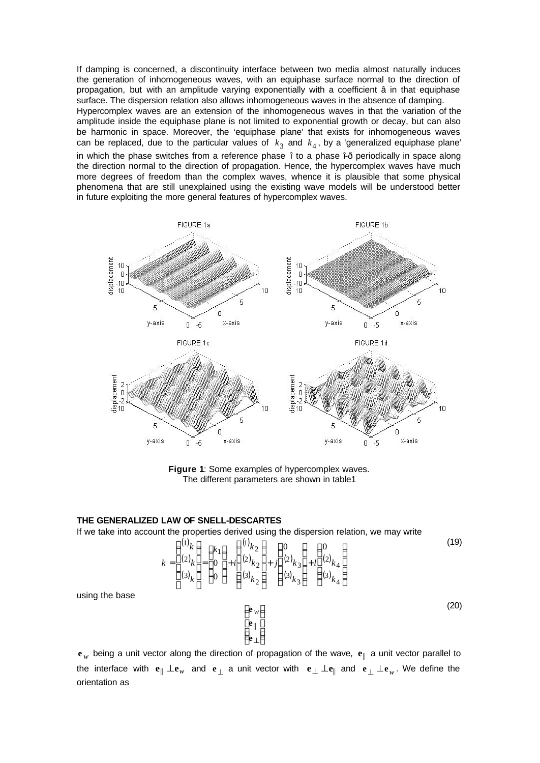If damping is concerned, a discontinuity interface between two media almost naturally induces the generation of inhomogeneous waves, with an equiphase surface normal to the direction of propagation, but with an amplitude varying exponentially with a coefficient â in that equiphase surface. The dispersion relation also allows inhomogeneous waves in the absence of damping. Hypercomplex waves are an extension of the inhomogeneous waves in that the variation of the amplitude inside the equiphase plane is not limited to exponential growth or decay, but can also be harmonic in space. Moreover, the 'equiphase plane' that exists for inhomogeneous waves can be replaced, due to the particular values of  $k_3$  and  $k_4$ , by a 'generalized equiphase plane' in which the phase switches from a reference phase î to a phase î-ð periodically in space along the direction normal to the direction of propagation. Hence, the hypercomplex waves have much more degrees of freedom than the complex waves, whence it is plausible that some physical phenomena that are still unexplained using the existing wave models will be understood better in future exploiting the more general features of hypercomplex waves.



**Figure 1**: Some examples of hypercomplex waves. The different parameters are shown in table1

#### **THE GENERALIZED LAW OF SNELL-DESCARTES**

If we take into account the properties derived using the dispersion relation, we may write

L L L L **e** || **e**

ſ

l

$$
k = \begin{pmatrix} 1 \\ 2 \\ 2 \end{pmatrix} k = \begin{pmatrix} k_1 \\ 0 \\ 3 \end{pmatrix} + i \begin{pmatrix} 0 \\ 2 \end{pmatrix} k_2 + i \begin{pmatrix} 0 \\ 2 \end{pmatrix} k_3 + i \begin{pmatrix} 0 \\ 2 \end{pmatrix} k_4
$$

$$
(3)_{k_1} = \begin{pmatrix} 0 \\ 3 \end{pmatrix} k_1 + i \begin{pmatrix} 0 \\ 2 \end{pmatrix} k_2 + i \begin{pmatrix} 0 \\ 2 \end{pmatrix} k_3 + i \begin{pmatrix} 0 \\ 2 \end{pmatrix} k_4
$$

using the base

 $\overline{\phantom{a}}$  $\overline{\phantom{a}}$ I  $\overline{)}$  $\left( \right)$ **e**⊥ *w* (20)

 $\mathbf{e}_w$  being a unit vector along the direction of propagation of the wave,  $\mathbf{e}_{\parallel}$  a unit vector parallel to the interface with  $e_{\parallel} \perp e_w$  and  $e_{\perp}$  a unit vector with  $e_{\perp} \perp e_{\parallel}$  and  $e_{\perp} \perp e_w$ . We define the orientation as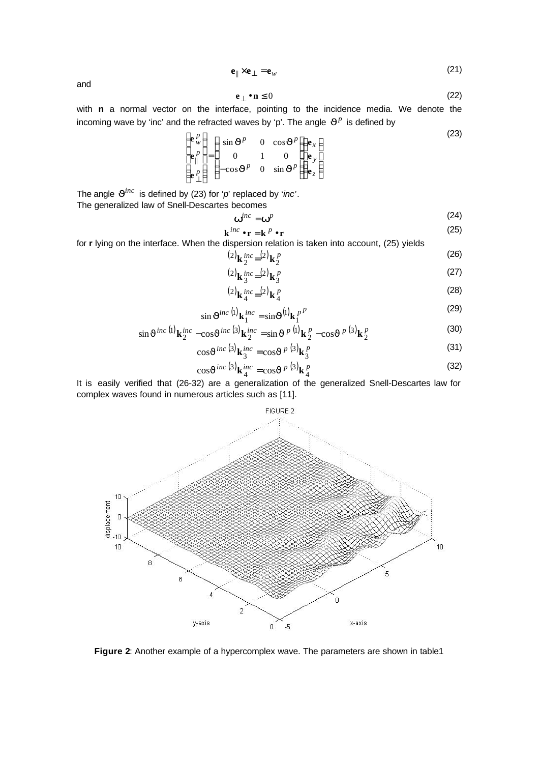$$
\mathbf{e}_{\parallel} \times \mathbf{e}_{\perp} = \mathbf{e}_{w} \tag{21}
$$

and

$$
\mathbf{e}_{\perp} \bullet \mathbf{n} \le 0 \tag{22}
$$

with **n** a normal vector on the interface, pointing to the incidence media. We denote the incoming wave by 'inc' and the refracted waves by 'p'. The angle  $J^p$  is defined by

$$
\begin{pmatrix}\n\mathbf{e}_w^p \\
\mathbf{e}_w^p \\
\mathbf{e}_w^p\n\end{pmatrix} = \begin{pmatrix}\n\sin \mathbf{J}^p & 0 & \cos \mathbf{J}^p \\
0 & 1 & 0 \\
-\cos \mathbf{J}^p & 0 & \sin \mathbf{J}^p\n\end{pmatrix} \begin{pmatrix}\n\mathbf{e}_x \\
\mathbf{e}_y \\
\mathbf{e}_z\n\end{pmatrix}
$$
\n(23)

The angle  $\mathbf{J}^{inc}$  is defined by (23) for '*p*' replaced by '*inc*'. The generalized law of Snell-Descartes becomes

$$
\mathbf{w}^{inc} = \mathbf{w}^p \tag{24}
$$

$$
\mathbf{k}^{inc} \bullet \mathbf{r} = \mathbf{k}^p \bullet \mathbf{r}
$$
 (25)

for **r** lying on the interface. When the dispersion relation is taken into account, (25) yields

$$
{}^{(2)}\mathbf{k}\,_{2}^{inc} = {}^{(2)}\mathbf{k}\,_{2}^{p} \tag{26}
$$

$$
^{(2)}\mathbf{k}\,_{3}^{inc}=(2)\,\mathbf{k}\,_{3}^{p}\tag{27}
$$

$$
\text{(28)}\\
\mathbf{k}_4^{inc} = \text{(2)}\mathbf{k}_4^p
$$

$$
\sin \mathbf{J}^{inc}{}^{(1)}\mathbf{k}_1^{inc} = \sin \mathbf{J}^{(1)}\mathbf{k}_1^{p}{}^{p}
$$
\n(29)

$$
\sin \mathbf{J}^{inc}{}^{(1)}\mathbf{k}_2^{inc} - \cos \mathbf{J}^{inc}{}^{(3)}\mathbf{k}_2^{inc} = \sin \mathbf{J}^{p}{}^{(1)}\mathbf{k}_2^p - \cos \mathbf{J}^{p}{}^{(3)}\mathbf{k}_2^p \tag{30}
$$

$$
\cos \mathbf{J}^{inc} \left(3\right) \mathbf{k}_3^{inc} = \cos \mathbf{J}^{p} \left(3\right) \mathbf{k}_3^p \tag{31}
$$

$$
\cos \mathbf{J}^{inc} \, (3)_{\mathbf{k}_{4}^{inc}} = \cos \mathbf{J}^{p} \, (3)_{\mathbf{k}_{4}^{p}}
$$
\n
$$
(32)
$$

It is easily verified that (26-32) are a generalization of the generalized Snell-Descartes law for complex waves found in numerous articles such as [11].



**Figure 2**: Another example of a hypercomplex wave. The parameters are shown in table1